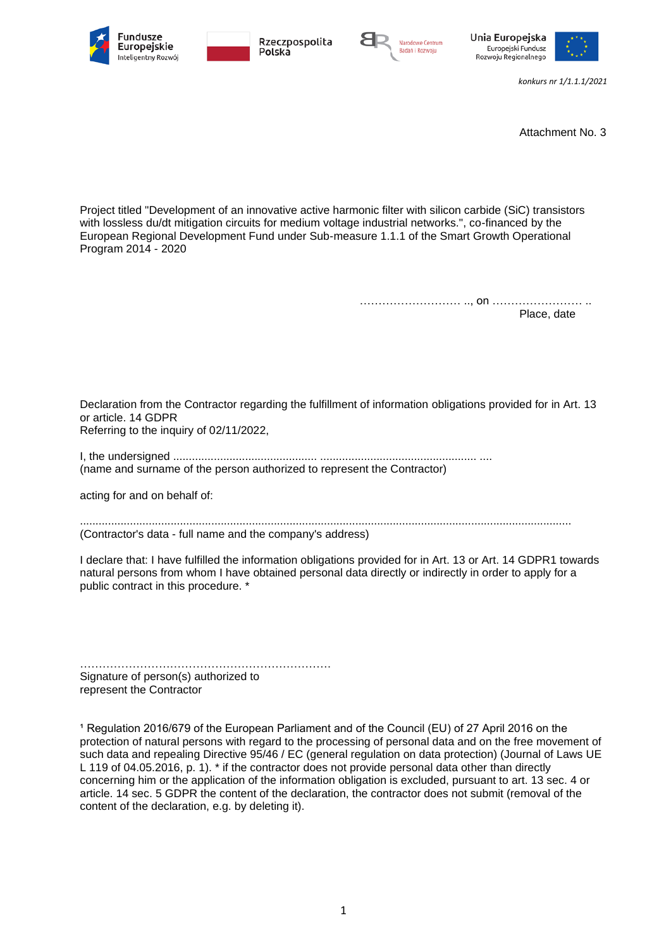







*konkurs nr 1/1.1.1/2021*

Attachment No. 3

Project titled "Development of an innovative active harmonic filter with silicon carbide (SiC) transistors with lossless du/dt mitigation circuits for medium voltage industrial networks.", co-financed by the European Regional Development Fund under Sub-measure 1.1.1 of the Smart Growth Operational Program 2014 - 2020

> ……………………… .., on …………………… .. Place, date

Declaration from the Contractor regarding the fulfillment of information obligations provided for in Art. 13 or article. 14 GDPR Referring to the inquiry of 02/11/2022,

I, the undersigned .............................................. .................................................. .... (name and surname of the person authorized to represent the Contractor)

acting for and on behalf of:

............................................................................................................................................................. (Contractor's data - full name and the company's address)

I declare that: I have fulfilled the information obligations provided for in Art. 13 or Art. 14 GDPR1 towards natural persons from whom I have obtained personal data directly or indirectly in order to apply for a public contract in this procedure. \*

…………………………………………………………. Signature of person(s) authorized to represent the Contractor

<sup>1</sup> Regulation 2016/679 of the European Parliament and of the Council (EU) of 27 April 2016 on the protection of natural persons with regard to the processing of personal data and on the free movement of such data and repealing Directive 95/46 / EC (general regulation on data protection) (Journal of Laws UE L 119 of 04.05.2016, p. 1). \* if the contractor does not provide personal data other than directly concerning him or the application of the information obligation is excluded, pursuant to art. 13 sec. 4 or article. 14 sec. 5 GDPR the content of the declaration, the contractor does not submit (removal of the content of the declaration, e.g. by deleting it).